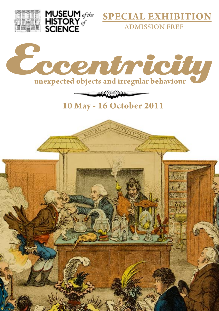